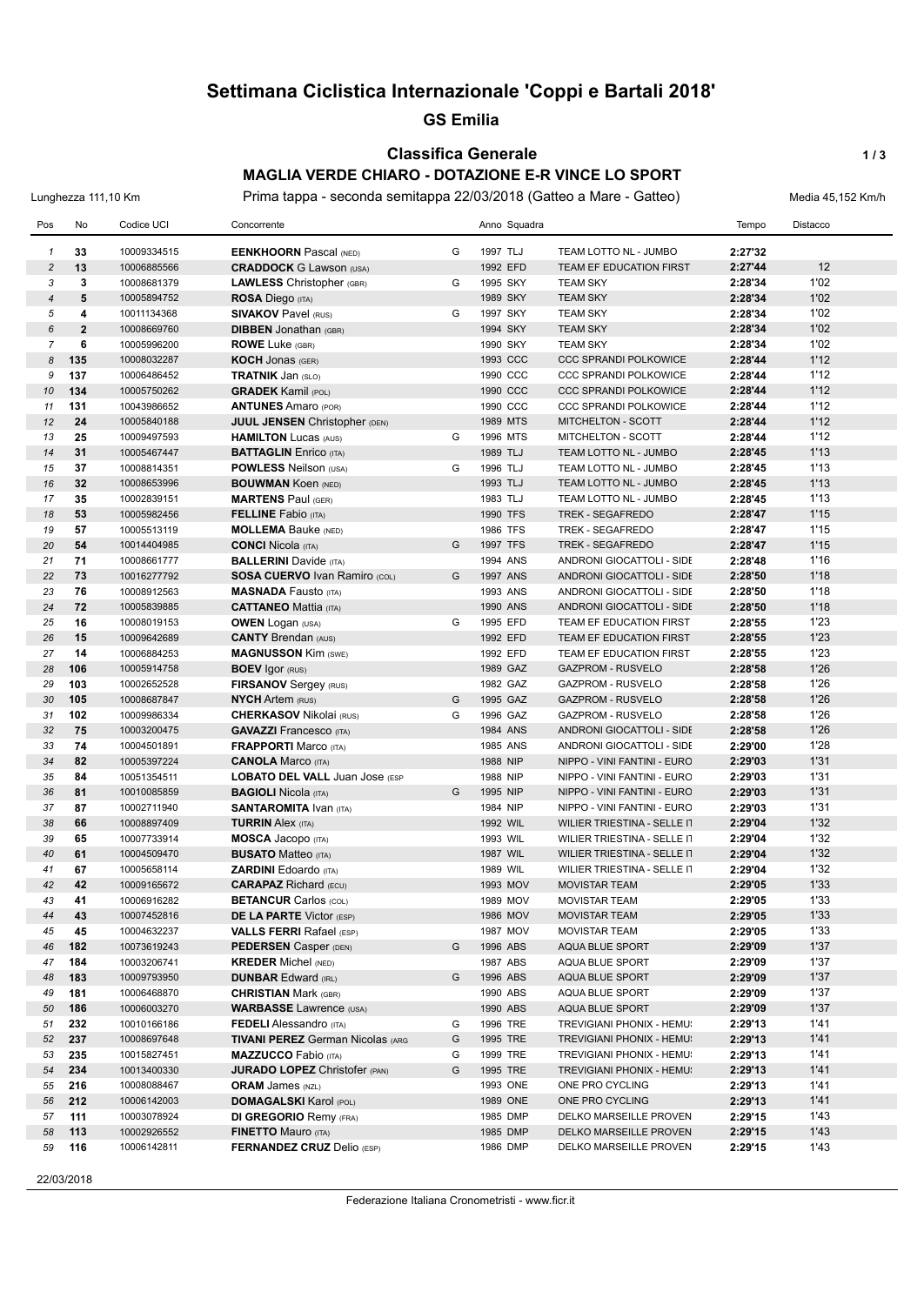# **Settimana Ciclistica Internazionale 'Coppi e Bartali 2018'**

# **GS Emilia**

# **Classifica Generale 1/3 MAGLIA VERDE CHIARO - DOTAZIONE E-R VINCE LO SPORT**

Lunghezza 111,10 Km Prima tappa - seconda semitappa 22/03/2018 (Gatteo a Mare - Gatteo) Media 45,152 Km/h

| Pos            | No             | Codice UCI  | Concorrente                             |   | Anno Squadra |                                    | Tempo   | Distacco |
|----------------|----------------|-------------|-----------------------------------------|---|--------------|------------------------------------|---------|----------|
| $\mathbf{1}$   | 33             | 10009334515 | <b>EENKHOORN</b> Pascal (NED)           | G | 1997 TLJ     | TEAM LOTTO NL - JUMBO              | 2:27'32 |          |
| $\overline{c}$ | 13             | 10006885566 | <b>CRADDOCK</b> G Lawson (USA)          |   | 1992 EFD     | TEAM EF EDUCATION FIRST            | 2:27'44 | 12       |
| 3              | 3              | 10008681379 | <b>LAWLESS</b> Christopher (GBR)        | G | 1995 SKY     | <b>TEAM SKY</b>                    | 2:28'34 | 1'02     |
| $\overline{4}$ | 5              | 10005894752 | <b>ROSA Diego (ITA)</b>                 |   | 1989 SKY     | <b>TEAM SKY</b>                    | 2:28'34 | 1'02     |
| 5              | 4              | 10011134368 | <b>SIVAKOV Pavel (RUS)</b>              | G | 1997 SKY     | <b>TEAM SKY</b>                    | 2:28'34 | 1'02     |
| 6              | $\overline{2}$ | 10008669760 | <b>DIBBEN</b> Jonathan (GBR)            |   | 1994 SKY     | <b>TEAM SKY</b>                    | 2:28'34 | 1'02     |
| $\overline{7}$ | 6              | 10005996200 | <b>ROWE Luke (GBR)</b>                  |   | 1990 SKY     | <b>TEAM SKY</b>                    | 2:28'34 | 1'02     |
| 8              | 135            | 10008032287 | <b>KOCH Jonas (GER)</b>                 |   | 1993 CCC     | <b>CCC SPRANDI POLKOWICE</b>       | 2:28'44 | 1'12     |
| 9              | 137            | 10006486452 | <b>TRATNIK Jan (SLO)</b>                |   | 1990 CCC     | <b>CCC SPRANDI POLKOWICE</b>       | 2:28'44 | 1'12     |
| 10             | 134            | 10005750262 | <b>GRADEK Kamil (POL)</b>               |   | 1990 CCC     | <b>CCC SPRANDI POLKOWICE</b>       | 2:28'44 | 1'12     |
| 11             | 131            | 10043986652 | <b>ANTUNES</b> Amaro (POR)              |   | 1990 CCC     | <b>CCC SPRANDI POLKOWICE</b>       | 2:28'44 | 1'12     |
| 12             | 24             | 10005840188 | <b>JUUL JENSEN Christopher (DEN)</b>    |   | 1989 MTS     | MITCHELTON - SCOTT                 | 2:28'44 | 1'12     |
| 13             | 25             | 10009497593 | <b>HAMILTON Lucas (AUS)</b>             | G | 1996 MTS     | MITCHELTON - SCOTT                 | 2:28'44 | 1'12     |
| 14             | 31             | 10005467447 | <b>BATTAGLIN Enrico (ITA)</b>           |   | 1989 TLJ     | TEAM LOTTO NL - JUMBO              | 2:28'45 | 1'13     |
| 15             | 37             | 10008814351 | <b>POWLESS Neilson (USA)</b>            | G | 1996 TLJ     | TEAM LOTTO NL - JUMBO              | 2:28'45 | 1'13     |
| 16             | 32             | 10008653996 | <b>BOUWMAN Koen (NED)</b>               |   | 1993 TLJ     | TEAM LOTTO NL - JUMBO              | 2:28'45 | 1'13     |
| 17             | 35             | 10002839151 | <b>MARTENS Paul (GER)</b>               |   | 1983 TLJ     | TEAM LOTTO NL - JUMBO              | 2:28'45 | 1'13     |
| 18             | 53             | 10005982456 | <b>FELLINE</b> Fabio (ITA)              |   | 1990 TFS     | TREK - SEGAFREDO                   | 2:28'47 | 1'15     |
| 19             | 57             | 10005513119 | <b>MOLLEMA Bauke (NED)</b>              |   | 1986 TFS     | TREK - SEGAFREDO                   | 2:28'47 | 1'15     |
| 20             | 54             | 10014404985 | <b>CONCI Nicola (ITA)</b>               | G | 1997 TFS     | TREK - SEGAFREDO                   | 2:28'47 | 1'15     |
| 21             | 71             | 10008661777 | <b>BALLERINI</b> Davide (ITA)           |   | 1994 ANS     | ANDRONI GIOCATTOLI - SIDE          | 2:28'48 | 1'16     |
| 22             | 73             | 10016277792 | <b>SOSA CUERVO Ivan Ramiro (COL)</b>    | G | 1997 ANS     | ANDRONI GIOCATTOLI - SIDE          | 2:28'50 | 1'18     |
| 23             | 76             | 10008912563 | <b>MASNADA Fausto (ITA)</b>             |   | 1993 ANS     | ANDRONI GIOCATTOLI - SIDE          | 2:28'50 | 1'18     |
| 24             | 72             | 10005839885 | <b>CATTANEO Mattia (ITA)</b>            |   | 1990 ANS     | ANDRONI GIOCATTOLI - SIDE          | 2:28'50 | 1'18     |
| 25             | 16             | 10008019153 | <b>OWEN</b> Logan (USA)                 | G | 1995 EFD     | TEAM EF EDUCATION FIRST            | 2:28'55 | 1'23     |
| 26             | 15             | 10009642689 | <b>CANTY Brendan (AUS)</b>              |   | 1992 EFD     | TEAM EF EDUCATION FIRST            | 2:28'55 | 1'23     |
| 27             | 14             | 10006884253 | <b>MAGNUSSON Kim (SWE)</b>              |   | 1992 EFD     | TEAM EF EDUCATION FIRST            | 2:28'55 | 1'23     |
| 28             | 106            | 10005914758 | <b>BOEV Igor (RUS)</b>                  |   | 1989 GAZ     | GAZPROM - RUSVELO                  | 2:28'58 | 1'26     |
| 29             | 103            | 10002652528 | <b>FIRSANOV</b> Sergey (RUS)            |   | 1982 GAZ     | GAZPROM - RUSVELO                  | 2:28'58 | 1'26     |
| 30             | 105            | 10008687847 | <b>NYCH Artem (RUS)</b>                 | G | 1995 GAZ     | <b>GAZPROM - RUSVELO</b>           | 2:28'58 | 1'26     |
| 31             | 102            | 10009986334 | <b>CHERKASOV Nikolai (RUS)</b>          | G | 1996 GAZ     | GAZPROM - RUSVELO                  | 2:28'58 | 1'26     |
| 32             | 75             | 10003200475 | <b>GAVAZZI Francesco (ITA)</b>          |   | 1984 ANS     | ANDRONI GIOCATTOLI - SIDE          | 2:28'58 | 1'26     |
| 33             | 74             | 10004501891 | <b>FRAPPORTI Marco (ITA)</b>            |   | 1985 ANS     | ANDRONI GIOCATTOLI - SIDE          | 2:29'00 | 1'28     |
| 34             | 82             | 10005397224 | <b>CANOLA Marco (ITA)</b>               |   | 1988 NIP     | NIPPO - VINI FANTINI - EURO        | 2:29'03 | 1'31     |
| 35             | 84             | 10051354511 | <b>LOBATO DEL VALL Juan Jose (ESP</b>   |   | 1988 NIP     | NIPPO - VINI FANTINI - EURO        | 2:29'03 | 1'31     |
| 36             | 81             | 10010085859 | <b>BAGIOLI Nicola (ITA)</b>             | G | 1995 NIP     | NIPPO - VINI FANTINI - EURO        | 2:29'03 | 1'31     |
| 37             | 87             | 10002711940 | <b>SANTAROMITA IVAN (ITA)</b>           |   | 1984 NIP     | NIPPO - VINI FANTINI - EURO        | 2:29'03 | 1'31     |
| 38             | 66             | 10008897409 | <b>TURRIN Alex (ITA)</b>                |   | 1992 WIL     | WILIER TRIESTINA - SELLE IT        | 2:29'04 | 1'32     |
| 39             | 65             | 10007733914 | <b>MOSCA Jacopo</b> (ITA)               |   | 1993 WIL     | WILIER TRIESTINA - SELLE IT        | 2:29'04 | 1'32     |
| 40             | 61             | 10004509470 | <b>BUSATO Matteo (ITA)</b>              |   | 1987 WIL     | WILIER TRIESTINA - SELLE IT        | 2:29'04 | 1'32     |
| 41             | 67             | 10005658114 | <b>ZARDINI</b> Edoardo (ITA)            |   | 1989 WIL     | <b>WILIER TRIESTINA - SELLE IT</b> | 2:29'04 | 1'32     |
| 42             | 42             | 10009165672 | <b>CARAPAZ</b> Richard (ECU)            |   | 1993 MOV     | <b>MOVISTAR TEAM</b>               | 2:29'05 | 1'33     |
| 43             | 41             | 10006916282 | <b>BETANCUR Carlos (COL)</b>            |   | 1989 MOV     | <b>MOVISTAR TEAM</b>               | 2:29'05 | 1'33     |
| 44             | 43             | 10007452816 | <b>DE LA PARTE Victor (ESP)</b>         |   | 1986 MOV     | <b>MOVISTAR TEAM</b>               | 2:29'05 | 1'33     |
| 45             | 45             | 10004632237 | <b>VALLS FERRI</b> Rafael (ESP)         |   | 1987 MOV     | <b>MOVISTAR TEAM</b>               | 2:29'05 | 1'33     |
| 46             | 182            | 10073619243 | <b>PEDERSEN Casper (DEN)</b>            | G | 1996 ABS     | <b>AQUA BLUE SPORT</b>             | 2:29'09 | 1'37     |
| 47             | 184            | 10003206741 | <b>KREDER Michel (NED)</b>              |   | 1987 ABS     | AQUA BLUE SPORT                    | 2:29'09 | 1'37     |
| 48             | 183            | 10009793950 | <b>DUNBAR Edward (IRL)</b>              | G | 1996 ABS     | <b>AQUA BLUE SPORT</b>             | 2:29'09 | 1'37     |
| 49             | 181            | 10006468870 | <b>CHRISTIAN Mark (GBR)</b>             |   | 1990 ABS     | AQUA BLUE SPORT                    | 2:29'09 | 1'37     |
| 50             | 186            | 10006003270 | <b>WARBASSE Lawrence (USA)</b>          |   | 1990 ABS     | AQUA BLUE SPORT                    | 2:29'09 | 1'37     |
| 51             | 232            | 10010166186 | <b>FEDELI</b> Alessandro (ITA)          | G | 1996 TRE     | TREVIGIANI PHONIX - HEMU!          | 2:29'13 | 1'41     |
| 52             | 237            | 10008697648 | <b>TIVANI PEREZ German Nicolas (ARG</b> | G | 1995 TRE     | TREVIGIANI PHONIX - HEMU!          | 2:29'13 | 1'41     |
| 53             | 235            | 10015827451 | <b>MAZZUCCO Fabio (ITA)</b>             | G | 1999 TRE     | TREVIGIANI PHONIX - HEMU!          | 2:29'13 | 1'41     |
| 54             | 234            | 10013400330 | <b>JURADO LOPEZ</b> Christofer (PAN)    | G | 1995 TRE     | TREVIGIANI PHONIX - HEMU!          | 2:29'13 | 1'41     |
| 55             | 216            | 10008088467 | <b>ORAM</b> James (NZL)                 |   | 1993 ONE     | ONE PRO CYCLING                    | 2:29'13 | 1'41     |
| 56             | 212            | 10006142003 | <b>DOMAGALSKI</b> Karol (POL)           |   | 1989 ONE     | ONE PRO CYCLING                    | 2:29'13 | 1'41     |
| 57             | 111            | 10003078924 | <b>DI GREGORIO</b> Remy (FRA)           |   | 1985 DMP     | DELKO MARSEILLE PROVEN             | 2:29'15 | 1'43     |
| 58             | 113            | 10002926552 | <b>FINETTO Mauro (ITA)</b>              |   | 1985 DMP     | DELKO MARSEILLE PROVEN             | 2:29'15 | 1'43     |
| 59             | 116            | 10006142811 | <b>FERNANDEZ CRUZ</b> Delio (ESP)       |   | 1986 DMP     | DELKO MARSEILLE PROVEN             | 2:29'15 | 1'43     |

22/03/2018

Federazione Italiana Cronometristi - www.ficr.it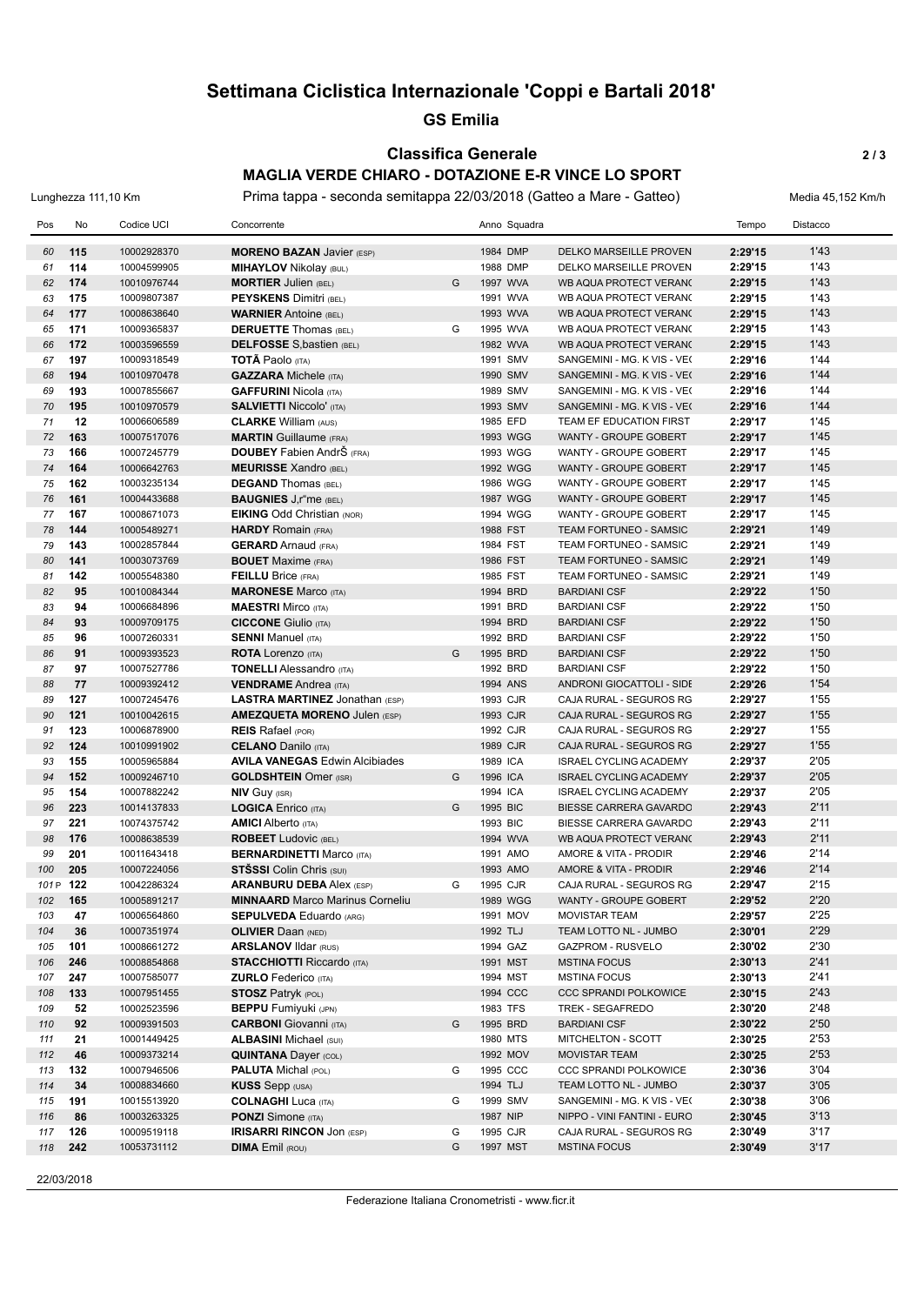# **Settimana Ciclistica Internazionale 'Coppi e Bartali 2018'**

# **GS Emilia**

# **Classifica Generale 2 / 3 MAGLIA VERDE CHIARO - DOTAZIONE E-R VINCE LO SPORT**

Lunghezza 111,10 Km Prima tappa - seconda semitappa 22/03/2018 (Gatteo a Mare - Gatteo) Media 45,152 Km/h

| Pos        | No       | Codice UCI                 | Concorrente                                                     |   |          | Anno Squadra         |                                                  | Tempo              | <b>Distacco</b> |
|------------|----------|----------------------------|-----------------------------------------------------------------|---|----------|----------------------|--------------------------------------------------|--------------------|-----------------|
| 60         | 115      | 10002928370                | <b>MORENO BAZAN Javier (ESP)</b>                                |   |          | 1984 DMP             | DELKO MARSEILLE PROVEN                           | 2:29'15            | 1'43            |
| 61         | 114      | 10004599905                | <b>MIHAYLOV Nikolay (BUL)</b>                                   |   |          | 1988 DMP             | DELKO MARSEILLE PROVEN                           | 2:29'15            | 1'43            |
| 62         | 174      | 10010976744                | <b>MORTIER Julien (BEL)</b>                                     | G |          | 1997 WVA             | WB AQUA PROTECT VERANC                           | 2:29'15            | 1'43            |
| 63         | 175      | 10009807387                | <b>PEYSKENS Dimitri (BEL)</b>                                   |   |          | 1991 WVA             | WB AQUA PROTECT VERANC                           | 2:29'15            | 1'43            |
| 64         | 177      | 10008638640                | <b>WARNIER Antoine (BEL)</b>                                    |   |          | 1993 WVA             | WB AQUA PROTECT VERANC                           | 2:29'15            | 1'43            |
| 65         | 171      | 10009365837                | <b>DERUETTE Thomas (BEL)</b>                                    | G |          | 1995 WVA             | WB AQUA PROTECT VERANC                           | 2:29'15            | 1'43            |
| 66         | 172      | 10003596559                | <b>DELFOSSE</b> S, bastien (BEL)                                |   |          | 1982 WVA             | WB AQUA PROTECT VERANC                           | 2:29'15            | 1'43            |
| 67         | 197      | 10009318549                | <b>TOTÄ</b> Paolo (ITA)                                         |   |          | 1991 SMV             | SANGEMINI - MG. K VIS - VE(                      | 2:29'16            | 1'44            |
| 68         | 194      | 10010970478                | <b>GAZZARA</b> Michele (ITA)                                    |   |          | 1990 SMV             | SANGEMINI - MG. K VIS - VE(                      | 2:29'16            | 1'44            |
| 69         | 193      | 10007855667                | <b>GAFFURINI Nicola (ITA)</b>                                   |   |          | 1989 SMV             | SANGEMINI - MG. K VIS - VE(                      | 2:29'16            | 1'44            |
| 70         | 195      | 10010970579                | <b>SALVIETTI Niccolo' (ITA)</b>                                 |   |          | 1993 SMV             | SANGEMINI - MG. K VIS - VE(                      | 2:29'16            | 1'44            |
| 71         | 12       | 10006606589                | <b>CLARKE William (AUS)</b>                                     |   |          | 1985 EFD             | TEAM EF EDUCATION FIRST                          | 2:29'17            | 1'45            |
| 72         | 163      | 10007517076                | <b>MARTIN</b> Guillaume (FRA)                                   |   |          | 1993 WGG             | WANTY - GROUPE GOBERT                            | 2:29'17            | 1'45            |
| 73         | 166      | 10007245779                | <b>DOUBEY</b> Fabien AndrŠ (FRA)                                |   |          | 1993 WGG             | WANTY - GROUPE GOBERT                            | 2:29'17            | 1'45            |
| 74         | 164      | 10006642763                | <b>MEURISSE Xandro (BEL)</b>                                    |   |          | 1992 WGG             | WANTY - GROUPE GOBERT                            | 2:29'17            | 1'45            |
| 75         | 162      | 10003235134                | <b>DEGAND Thomas (BEL)</b>                                      |   |          | 1986 WGG             | WANTY - GROUPE GOBERT                            | 2:29'17            | 1'45            |
| 76         | 161      | 10004433688                | <b>BAUGNIES</b> J,r"me (BEL)                                    |   |          | 1987 WGG             | WANTY - GROUPE GOBERT                            | 2:29'17            | 1'45            |
| 77         | 167      | 10008671073                | <b>EIKING Odd Christian (NOR)</b>                               |   |          | 1994 WGG             | WANTY - GROUPE GOBERT                            | 2:29'17            | 1'45            |
| 78         | 144      | 10005489271                | <b>HARDY</b> Romain (FRA)                                       |   |          | 1988 FST             | TEAM FORTUNEO - SAMSIC                           | 2:29'21            | 1'49            |
| 79         | 143      | 10002857844                | <b>GERARD</b> Arnaud (FRA)                                      |   | 1984 FST |                      | TEAM FORTUNEO - SAMSIC                           | 2:29'21            | 1'49            |
| 80         | 141      | 10003073769                | <b>BOUET</b> Maxime (FRA)                                       |   | 1986 FST |                      | <b>TEAM FORTUNEO - SAMSIC</b>                    | 2:29'21            | 1'49            |
| 81         | 142      | 10005548380                | <b>FEILLU Brice (FRA)</b>                                       |   | 1985 FST |                      | TEAM FORTUNEO - SAMSIC                           | 2:29'21            | 1'49            |
| 82         | 95       | 10010084344                | <b>MARONESE Marco (ITA)</b>                                     |   |          | 1994 BRD             | <b>BARDIANI CSF</b>                              | 2:29'22            | 1'50            |
| 83         | 94       | 10006684896                | <b>MAESTRI</b> Mirco (ITA)                                      |   |          | 1991 BRD             | <b>BARDIANI CSF</b>                              | 2:29'22            | 1'50            |
| 84         | 93       | 10009709175                | <b>CICCONE</b> Giulio (ITA)                                     |   |          | 1994 BRD             | <b>BARDIANI CSF</b>                              | 2:29'22            | 1'50            |
| 85         | 96       | 10007260331                | <b>SENNI Manuel (ITA)</b>                                       |   |          | 1992 BRD             | <b>BARDIANI CSF</b>                              | 2:29'22            | 1'50            |
| 86         | 91       | 10009393523                | <b>ROTA</b> Lorenzo (ITA)                                       | G |          | 1995 BRD             | <b>BARDIANI CSF</b>                              | 2:29'22            | 1'50            |
| 87<br>88   | 97<br>77 | 10007527786<br>10009392412 | <b>TONELLI</b> Alessandro (ITA)<br><b>VENDRAME</b> Andrea (ITA) |   |          | 1992 BRD<br>1994 ANS | <b>BARDIANI CSF</b><br>ANDRONI GIOCATTOLI - SIDE | 2:29'22<br>2:29'26 | 1'50<br>1'54    |
| 89         | 127      | 10007245476                | <b>LASTRA MARTINEZ Jonathan (ESP)</b>                           |   |          | 1993 CJR             | CAJA RURAL - SEGUROS RG                          | 2:29'27            | 1'55            |
| 90         | 121      | 10010042615                | <b>AMEZQUETA MORENO Julen (ESP)</b>                             |   |          | 1993 CJR             | CAJA RURAL - SEGUROS RG                          | 2:29'27            | 1'55            |
| 91         | 123      | 10006878900                | <b>REIS</b> Rafael (POR)                                        |   |          | 1992 CJR             | CAJA RURAL - SEGUROS RG                          | 2:29'27            | 1'55            |
| 92         | 124      | 10010991902                | <b>CELANO</b> Danilo (ITA)                                      |   |          | 1989 CJR             | CAJA RURAL - SEGUROS RG                          | 2:29'27            | 1'55            |
| 93         | 155      | 10005965884                | <b>AVILA VANEGAS Edwin Alcibiades</b>                           |   | 1989 ICA |                      | <b>ISRAEL CYCLING ACADEMY</b>                    | 2:29'37            | 2'05            |
| 94         | 152      | 10009246710                | <b>GOLDSHTEIN</b> Omer (ISR)                                    | G | 1996 ICA |                      | <b>ISRAEL CYCLING ACADEMY</b>                    | 2:29'37            | 2'05            |
| 95         | 154      | 10007882242                | <b>NIV Guy (ISR)</b>                                            |   | 1994 ICA |                      | <b>ISRAEL CYCLING ACADEMY</b>                    | 2:29'37            | 2'05            |
| 96         | 223      | 10014137833                | <b>LOGICA</b> Enrico (ITA)                                      | G | 1995 BIC |                      | BIESSE CARRERA GAVARDO                           | 2:29'43            | 2'11            |
| 97         | 221      | 10074375742                | <b>AMICI</b> Alberto (ITA)                                      |   | 1993 BIC |                      | BIESSE CARRERA GAVARDO                           | 2:29'43            | 2'11            |
| 98         | 176      | 10008638539                | <b>ROBEET</b> Ludovic (BEL)                                     |   |          | 1994 WVA             | WB AQUA PROTECT VERANC                           | 2:29'43            | 2'11            |
| 99         | 201      | 10011643418                | <b>BERNARDINETTI Marco (ITA)</b>                                |   |          | 1991 AMO             | AMORE & VITA - PRODIR                            | 2:29'46            | 2'14            |
| 100        | 205      | 10007224056                | <b>STŠSSI</b> Colin Chris (SUI)                                 |   |          | 1993 AMO             | AMORE & VITA - PRODIR                            | 2:29'46            | 2'14            |
| 101 P      | 122      | 10042286324                | <b>ARANBURU DEBA Alex (ESP)</b>                                 | G |          | 1995 CJR             | CAJA RURAL - SEGUROS RG                          | 2:29'47            | 2'15            |
| 102        | 165      | 10005891217                | <b>MINNAARD</b> Marco Marinus Corneliu                          |   |          | 1989 WGG             | <b>WANTY - GROUPE GOBERT</b>                     | 2:29'52            | 2'20            |
| 103        | 47       | 10006564860                | <b>SEPULVEDA Eduardo (ARG)</b>                                  |   |          | 1991 MOV             | <b>MOVISTAR TEAM</b>                             | 2:29'57            | 2'25            |
| 104        | 36       | 10007351974                | <b>OLIVIER Daan (NED)</b>                                       |   | 1992 TLJ |                      | TEAM LOTTO NL - JUMBO                            | 2:30'01            | 2'29            |
| 105        | 101      | 10008661272                | <b>ARSLANOV IIdar (RUS)</b>                                     |   |          | 1994 GAZ             | GAZPROM - RUSVELO                                | 2:30'02            | 2'30            |
| 106        | 246      | 10008854868                | <b>STACCHIOTTI Riccardo (ITA)</b>                               |   |          | 1991 MST             | <b>MSTINA FOCUS</b>                              | 2:30'13            | 2'41            |
| 107        | 247      | 10007585077                | <b>ZURLO</b> Federico (ITA)                                     |   |          | 1994 MST             | <b>MSTINA FOCUS</b>                              | 2:30'13            | 2'41            |
| 108        | 133      | 10007951455                | <b>STOSZ Patryk (POL)</b>                                       |   |          | 1994 CCC             | <b>CCC SPRANDI POLKOWICE</b>                     | 2:30'15            | 2'43            |
| 109        | 52       | 10002523596                | <b>BEPPU</b> Fumiyuki (JPN)                                     | G | 1983 TFS | 1995 BRD             | TREK - SEGAFREDO                                 | 2:30'20            | 2'48<br>2'50    |
| 110<br>111 | 92<br>21 | 10009391503<br>10001449425 | <b>CARBONI</b> Giovanni (ITA)<br><b>ALBASINI Michael (SUI)</b>  |   |          | 1980 MTS             | <b>BARDIANI CSF</b><br>MITCHELTON - SCOTT        | 2:30'22<br>2:30'25 | 2'53            |
| 112        | 46       | 10009373214                | <b>QUINTANA Dayer (COL)</b>                                     |   |          | 1992 MOV             | <b>MOVISTAR TEAM</b>                             | 2:30'25            | 2'53            |
| 113        | 132      | 10007946506                | <b>PALUTA Michal (POL)</b>                                      | G |          | 1995 CCC             | <b>CCC SPRANDI POLKOWICE</b>                     | 2:30'36            | 3'04            |
| 114        | 34       | 10008834660                | <b>KUSS</b> Sepp (USA)                                          |   | 1994 TLJ |                      | TEAM LOTTO NL - JUMBO                            | 2:30'37            | 3'05            |
| 115        | 191      | 10015513920                | <b>COLNAGHI</b> Luca (ITA)                                      | G |          | 1999 SMV             | SANGEMINI - MG. K VIS - VE(                      | 2:30'38            | 3'06            |
| 116        | 86       | 10003263325                | <b>PONZI</b> Simone (ITA)                                       |   | 1987 NIP |                      | NIPPO - VINI FANTINI - EURO                      | 2:30'45            | 3'13            |
| 117        | 126      | 10009519118                | <b>IRISARRI RINCON JON (ESP)</b>                                | G |          | 1995 CJR             | CAJA RURAL - SEGUROS RG                          | 2:30'49            | 3'17            |
| 118        | 242      | 10053731112                | <b>DIMA</b> Emil (ROU)                                          | G |          | 1997 MST             | <b>MSTINA FOCUS</b>                              | 2:30'49            | 3'17            |
|            |          |                            |                                                                 |   |          |                      |                                                  |                    |                 |

22/03/2018

Federazione Italiana Cronometristi - www.ficr.it